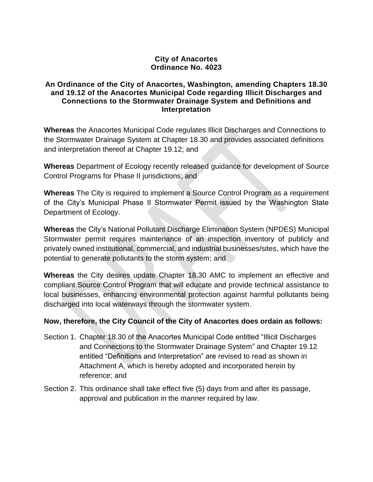## **City of Anacortes Ordinance No. 4023**

## **An Ordinance of the City of Anacortes, Washington, amending Chapters 18.30 and 19.12 of the Anacortes Municipal Code regarding Illicit Discharges and Connections to the Stormwater Drainage System and Definitions and Interpretation**

**Whereas** the Anacortes Municipal Code regulates Illicit Discharges and Connections to the Stormwater Drainage System at Chapter 18.30 and provides associated definitions and interpretation thereof at Chapter 19.12; and

**Whereas** Department of Ecology recently released guidance for development of Source Control Programs for Phase II jurisdictions; and

**Whereas** The City is required to implement a Source Control Program as a requirement of the City's Municipal Phase II Stormwater Permit issued by the Washington State Department of Ecology.

**Whereas** the City's National Pollutant Discharge Elimination System (NPDES) Municipal Stormwater permit requires maintenance of an inspection inventory of publicly and privately owned institutional, commercial, and industrial businesses/sites, which have the potential to generate pollutants to the storm system; and

**Whereas** the City desires update Chapter 18.30 AMC to implement an effective and compliant Source Control Program that will educate and provide technical assistance to local businesses, enhancing environmental protection against harmful pollutants being discharged into local waterways through the stormwater system.

## **Now, therefore, the City Council of the City of Anacortes does ordain as follows:**

- Section 1. Chapter 18.30 of the Anacortes Municipal Code entitled "Illicit Discharges and Connections to the Stormwater Drainage System" and Chapter 19.12 entitled "Definitions and Interpretation" are revised to read as shown in Attachment A, which is hereby adopted and incorporated herein by reference; and
- Section 2. This ordinance shall take effect five (5) days from and after its passage, approval and publication in the manner required by law.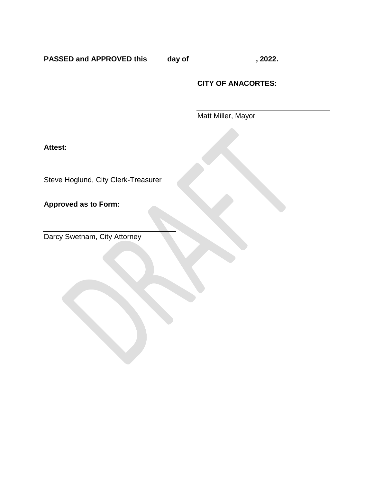**PASSED and APPROVED this \_\_\_\_ day of \_\_\_\_\_\_\_\_\_\_\_\_\_\_\_\_, 2022.**

## **CITY OF ANACORTES:**

Matt Miller, Mayor

**Attest:**

Steve Hoglund, City Clerk-Treasurer

**Approved as to Form:**

Darcy Swetnam, City Attorney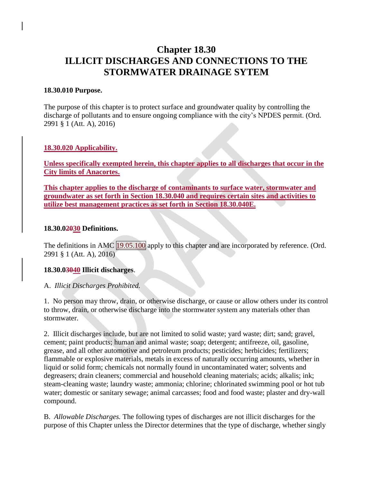## **Chapter 18.30 ILLICIT DISCHARGES AND CONNECTIONS TO THE STORMWATER DRAINAGE SYTEM**

#### **18.30.010 Purpose.**

The purpose of this chapter is to protect surface and groundwater quality by controlling the discharge of pollutants and to ensure ongoing compliance with the city's NPDES permit. (Ord. 2991 § 1 (Att. A), 2016)

## **18.30.020 Applicability.**

**Unless specifically exempted herein, this chapter applies to all discharges that occur in the City limits of Anacortes.**

**This chapter applies to the discharge of contaminants to surface water, stormwater and groundwater as set forth in Section 18.30.040 and requires certain sites and activities to utilize best management practices as set forth in Section 18.30.040E.**

#### **18.30.02030 Definitions.**

The definitions in AMC [19.05.100](https://anacortes.municipal.codes/AMC/19.05.100) apply to this chapter and are incorporated by reference. (Ord. 2991 § 1 (Att. A), 2016)

## **18.30.03040 Illicit discharges**.

## A. *Illicit Discharges Prohibited.*

1. No person may throw, drain, or otherwise discharge, or cause or allow others under its control to throw, drain, or otherwise discharge into the stormwater system any materials other than stormwater.

2. Illicit discharges include, but are not limited to solid waste; yard waste; dirt; sand; gravel, cement; paint products; human and animal waste; soap; detergent; antifreeze, oil, gasoline, grease, and all other automotive and petroleum products; pesticides; herbicides; fertilizers; flammable or explosive materials, metals in excess of naturally occurring amounts, whether in liquid or solid form; chemicals not normally found in uncontaminated water; solvents and degreasers; drain cleaners; commercial and household cleaning materials; acids; alkalis; ink; steam-cleaning waste; laundry waste; ammonia; chlorine; chlorinated swimming pool or hot tub water; domestic or sanitary sewage; animal carcasses; food and food waste; plaster and dry-wall compound.

B. *Allowable Discharges.* The following types of discharges are not illicit discharges for the purpose of this Chapter unless the Director determines that the type of discharge, whether singly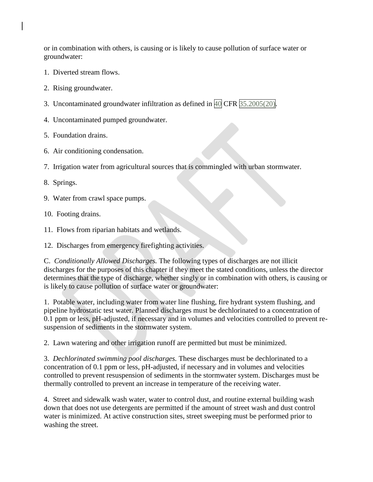or in combination with others, is causing or is likely to cause pollution of surface water or groundwater:

- 1. Diverted stream flows.
- 2. Rising groundwater.
- 3. Uncontaminated groundwater infiltration as defined in [40](https://anacortes.municipal.codes/US/CFR/40) CFR [35.2005\(20\).](https://anacortes.municipal.codes/US/CFR/40/35.2005(20))
- 4. Uncontaminated pumped groundwater.
- 5. Foundation drains.
- 6. Air conditioning condensation.
- 7. Irrigation water from agricultural sources that is commingled with urban stormwater.
- 8. Springs.
- 9. Water from crawl space pumps.
- 10. Footing drains.
- 11. Flows from riparian habitats and wetlands.
- 12. Discharges from emergency firefighting activities.

C. *Conditionally Allowed Discharges.* The following types of discharges are not illicit discharges for the purposes of this chapter if they meet the stated conditions, unless the director determines that the type of discharge, whether singly or in combination with others, is causing or is likely to cause pollution of surface water or groundwater:

1. Potable water, including water from water line flushing, fire hydrant system flushing, and pipeline hydrostatic test water. Planned discharges must be dechlorinated to a concentration of 0.1 ppm or less, pH-adjusted, if necessary and in volumes and velocities controlled to prevent resuspension of sediments in the stormwater system.

2. Lawn watering and other irrigation runoff are permitted but must be minimized.

3. *Dechlorinated swimming pool discharges.* These discharges must be dechlorinated to a concentration of 0.1 ppm or less, pH-adjusted, if necessary and in volumes and velocities controlled to prevent resuspension of sediments in the stormwater system. Discharges must be thermally controlled to prevent an increase in temperature of the receiving water.

4. Street and sidewalk wash water, water to control dust, and routine external building wash down that does not use detergents are permitted if the amount of street wash and dust control water is minimized. At active construction sites, street sweeping must be performed prior to washing the street.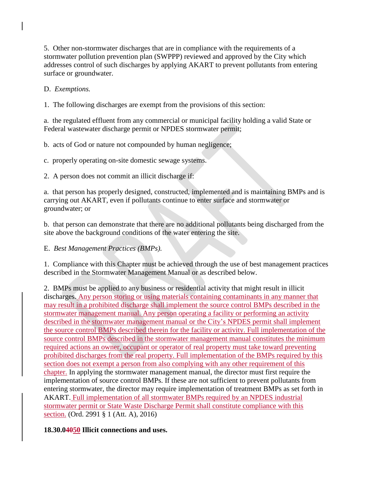5. Other non-stormwater discharges that are in compliance with the requirements of a stormwater pollution prevention plan (SWPPP) reviewed and approved by the City which addresses control of such discharges by applying AKART to prevent pollutants from entering surface or groundwater.

D. *Exemptions.*

1. The following discharges are exempt from the provisions of this section:

a. the regulated effluent from any commercial or municipal facility holding a valid State or Federal wastewater discharge permit or NPDES stormwater permit;

b. acts of God or nature not compounded by human negligence;

c. properly operating on-site domestic sewage systems.

2. A person does not commit an illicit discharge if:

a. that person has properly designed, constructed, implemented and is maintaining BMPs and is carrying out AKART, even if pollutants continue to enter surface and stormwater or groundwater; or

b. that person can demonstrate that there are no additional pollutants being discharged from the site above the background conditions of the water entering the site.

## E. *Best Management Practices (BMPs).*

1. Compliance with this Chapter must be achieved through the use of best management practices described in the Stormwater Management Manual or as described below.

2. BMPs must be applied to any business or residential activity that might result in illicit discharges. Any person storing or using materials containing contaminants in any manner that may result in a prohibited discharge shall implement the source control BMPs described in the stormwater management manual. Any person operating a facility or performing an activity described in the stormwater management manual or the City's NPDES permit shall implement the source control BMPs described therein for the facility or activity. Full implementation of the source control BMPs described in the stormwater management manual constitutes the minimum required actions an owner, occupant or operator of real property must take toward preventing prohibited discharges from the real property. Full implementation of the BMPs required by this section does not exempt a person from also complying with any other requirement of this chapter. In applying the stormwater management manual, the director must first require the implementation of source control BMPs. If these are not sufficient to prevent pollutants from entering stormwater, the director may require implementation of treatment BMPs as set forth in AKART. Full implementation of all stormwater BMPs required by an NPDES industrial stormwater permit or State Waste Discharge Permit shall constitute compliance with this section. (Ord. 2991 § 1 (Att. A), 2016)

## **18.30.04050 Illicit connections and uses.**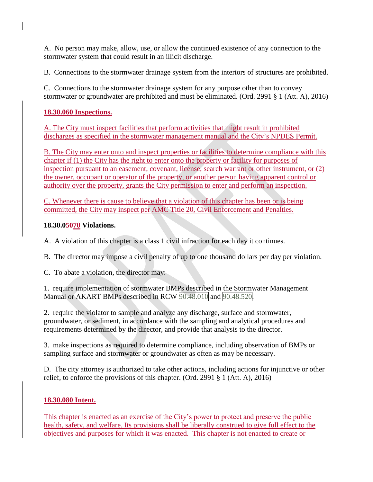A. No person may make, allow, use, or allow the continued existence of any connection to the stormwater system that could result in an illicit discharge.

B. Connections to the stormwater drainage system from the interiors of structures are prohibited.

C. Connections to the stormwater drainage system for any purpose other than to convey stormwater or groundwater are prohibited and must be eliminated. (Ord. 2991 § 1 (Att. A), 2016)

## **18.30.060 Inspections.**

A. The City must inspect facilities that perform activities that might result in prohibited discharges as specified in the stormwater management manual and the City's NPDES Permit.

B. The City may enter onto and inspect properties or facilities to determine compliance with this chapter if (1) the City has the right to enter onto the property or facility for purposes of inspection pursuant to an easement, covenant, license, search warrant or other instrument, or (2) the owner, occupant or operator of the property, or another person having apparent control or authority over the property, grants the City permission to enter and perform an inspection.

C. Whenever there is cause to believe that a violation of this chapter has been or is being committed, the City may inspect per AMC Title 20, Civil Enforcement and Penalties.

## **18.30.05070 Violations.**

A. A violation of this chapter is a class 1 civil infraction for each day it continues.

B. The director may impose a civil penalty of up to one thousand dollars per day per violation.

C. To abate a violation, the director may:

1. require implementation of stormwater BMPs described in the Stormwater Management Manual or AKART BMPs described in RCW [90.48.010](https://anacortes.municipal.codes/WA/RCW/90.48.010) and [90.48.520.](https://anacortes.municipal.codes/WA/RCW/90.48.520)

2. require the violator to sample and analyze any discharge, surface and stormwater, groundwater, or sediment, in accordance with the sampling and analytical procedures and requirements determined by the director, and provide that analysis to the director.

3. make inspections as required to determine compliance, including observation of BMPs or sampling surface and stormwater or groundwater as often as may be necessary.

D. The city attorney is authorized to take other actions, including actions for injunctive or other relief, to enforce the provisions of this chapter. (Ord. 2991 § 1 (Att. A), 2016)

## **18.30.080 Intent.**

This chapter is enacted as an exercise of the City's power to protect and preserve the public health, safety, and welfare. Its provisions shall be liberally construed to give full effect to the objectives and purposes for which it was enacted. This chapter is not enacted to create or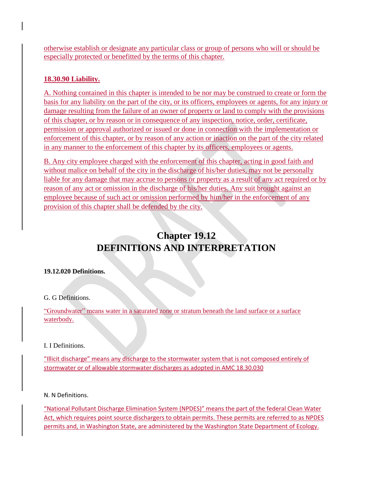otherwise establish or designate any particular class or group of persons who will or should be especially protected or benefitted by the terms of this chapter.

## **18.30.90 Liability.**

A. Nothing contained in this chapter is intended to be nor may be construed to create or form the basis for any liability on the part of the city, or its officers, employees or agents, for any injury or damage resulting from the failure of an owner of property or land to comply with the provisions of this chapter, or by reason or in consequence of any inspection, notice, order, certificate, permission or approval authorized or issued or done in connection with the implementation or enforcement of this chapter, or by reason of any action or inaction on the part of the city related in any manner to the enforcement of this chapter by its officers, employees or agents.

B. Any city employee charged with the enforcement of this chapter, acting in good faith and without malice on behalf of the city in the discharge of his/her duties, may not be personally liable for any damage that may accrue to persons or property as a result of any act required or by reason of any act or omission in the discharge of his/her duties. Any suit brought against an employee because of such act or omission performed by him/her in the enforcement of any provision of this chapter shall be defended by the city.

# **Chapter 19.12 DEFINITIONS AND INTERPRETATION**

#### **19.12.020 Definitions.**

#### G. G Definitions.

"Groundwater" means water in a saturated zone or stratum beneath the land surface or a surface waterbody.

#### I. I Definitions.

"Illicit discharge" means any discharge to the stormwater system that is not composed entirely of stormwater or of allowable stormwater discharges as adopted in AMC 18.30.030

N. N Definitions.

"National Pollutant Discharge Elimination System (NPDES)" means the part of the federal Clean Water Act, which requires point source dischargers to obtain permits. These permits are referred to as NPDES permits and, in Washington State, are administered by the Washington State Department of Ecology.